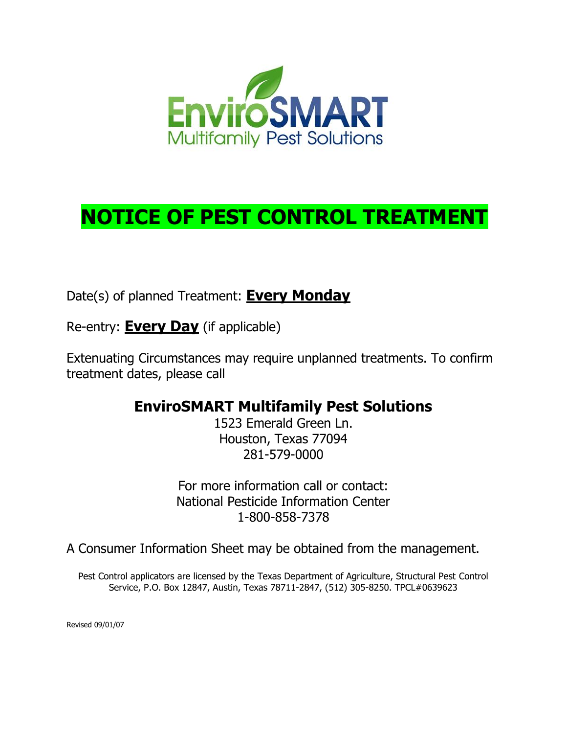

Date(s) of planned Treatment: **Every Monday**

Re-entry: **Every Day** (if applicable)

Extenuating Circumstances may require unplanned treatments. To confirm treatment dates, please call

### **EnviroSMART Multifamily Pest Solutions**

1523 Emerald Green Ln. Houston, Texas 77094 281-579-0000

For more information call or contact: National Pesticide Information Center 1-800-858-7378

A Consumer Information Sheet may be obtained from the management.

Pest Control applicators are licensed by the Texas Department of Agriculture, Structural Pest Control Service, P.O. Box 12847, Austin, Texas 78711-2847, (512) 305-8250. TPCL#0639623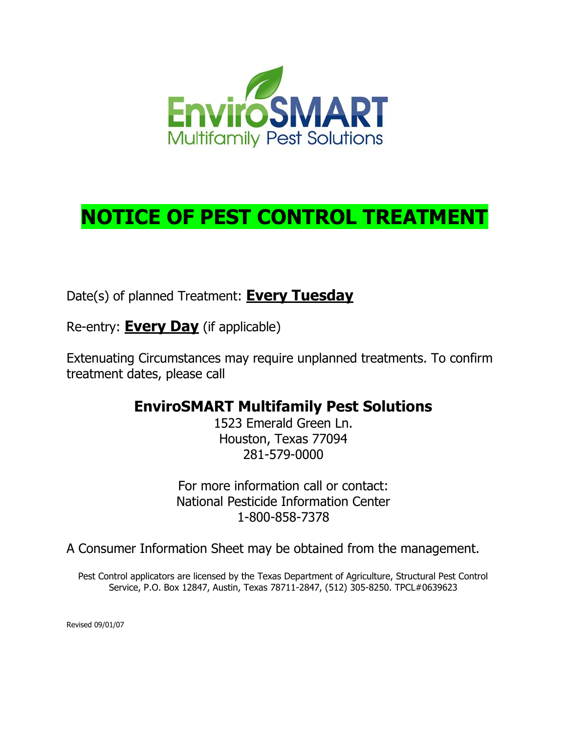

Date(s) of planned Treatment: **Every Tuesday**

Re-entry: **Every Day** (if applicable)

Extenuating Circumstances may require unplanned treatments. To confirm treatment dates, please call

### **EnviroSMART Multifamily Pest Solutions**

1523 Emerald Green Ln. Houston, Texas 77094 281-579-0000

For more information call or contact: National Pesticide Information Center 1-800-858-7378

A Consumer Information Sheet may be obtained from the management.

Pest Control applicators are licensed by the Texas Department of Agriculture, Structural Pest Control Service, P.O. Box 12847, Austin, Texas 78711-2847, (512) 305-8250. TPCL#0639623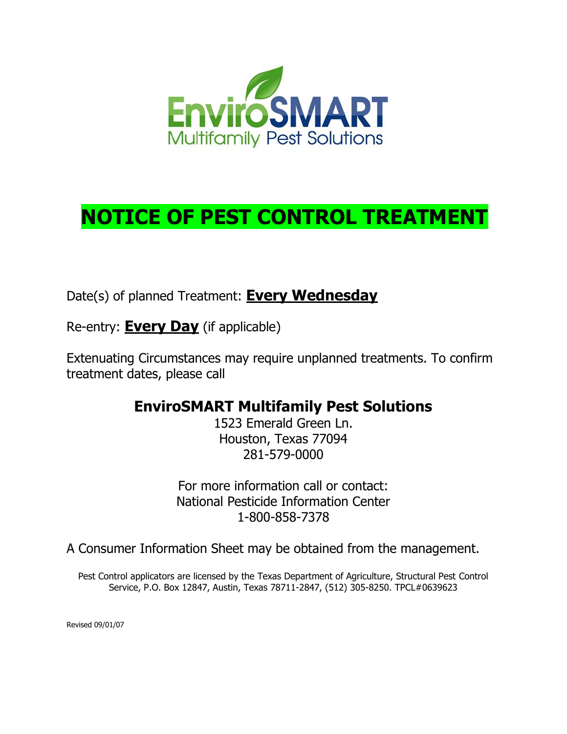

Date(s) of planned Treatment: **Every Wednesday**

Re-entry: **Every Day** (if applicable)

Extenuating Circumstances may require unplanned treatments. To confirm treatment dates, please call

### **EnviroSMART Multifamily Pest Solutions**

1523 Emerald Green Ln. Houston, Texas 77094 281-579-0000

For more information call or contact: National Pesticide Information Center 1-800-858-7378

A Consumer Information Sheet may be obtained from the management.

Pest Control applicators are licensed by the Texas Department of Agriculture, Structural Pest Control Service, P.O. Box 12847, Austin, Texas 78711-2847, (512) 305-8250. TPCL#0639623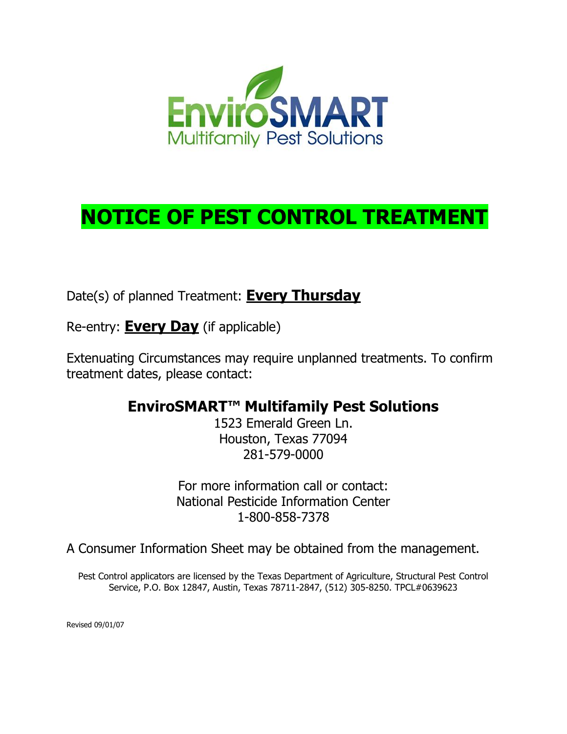

Date(s) of planned Treatment: **Every Thursday**

Re-entry: **Every Day** (if applicable)

Extenuating Circumstances may require unplanned treatments. To confirm treatment dates, please contact:

## **EnviroSMART™ Multifamily Pest Solutions**

1523 Emerald Green Ln. Houston, Texas 77094 281-579-0000

For more information call or contact: National Pesticide Information Center 1-800-858-7378

A Consumer Information Sheet may be obtained from the management.

Pest Control applicators are licensed by the Texas Department of Agriculture, Structural Pest Control Service, P.O. Box 12847, Austin, Texas 78711-2847, (512) 305-8250. TPCL#0639623